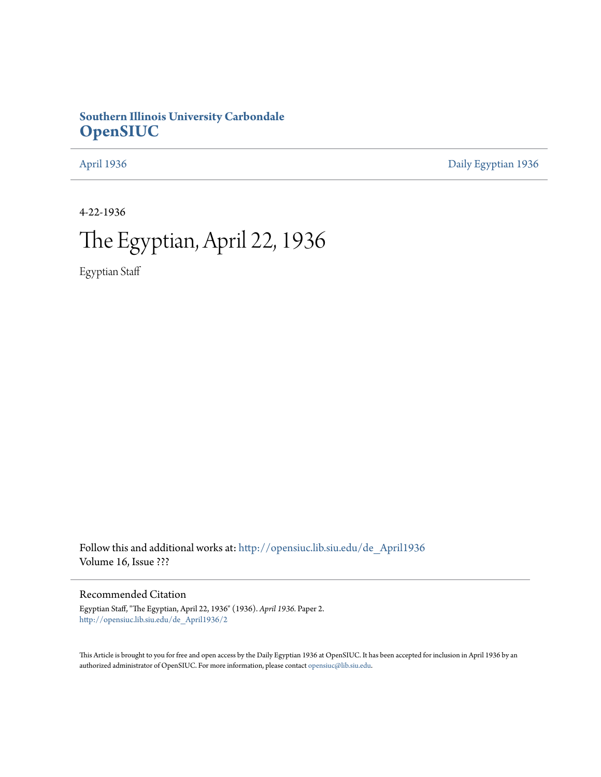# **Southern Illinois University Carbondale [OpenSIUC](http://opensiuc.lib.siu.edu?utm_source=opensiuc.lib.siu.edu%2Fde_April1936%2F2&utm_medium=PDF&utm_campaign=PDFCoverPages)**

[April 1936](http://opensiuc.lib.siu.edu/de_April1936?utm_source=opensiuc.lib.siu.edu%2Fde_April1936%2F2&utm_medium=PDF&utm_campaign=PDFCoverPages) [Daily Egyptian 1936](http://opensiuc.lib.siu.edu/de_1936?utm_source=opensiuc.lib.siu.edu%2Fde_April1936%2F2&utm_medium=PDF&utm_campaign=PDFCoverPages)

4-22-1936

# The Egyptian, April 22, 1936

Egyptian Staff

Follow this and additional works at: [http://opensiuc.lib.siu.edu/de\\_April1936](http://opensiuc.lib.siu.edu/de_April1936?utm_source=opensiuc.lib.siu.edu%2Fde_April1936%2F2&utm_medium=PDF&utm_campaign=PDFCoverPages) Volume 16, Issue ???

## Recommended Citation

Egyptian Staff, "The Egyptian, April 22, 1936" (1936). *April 1936.* Paper 2. [http://opensiuc.lib.siu.edu/de\\_April1936/2](http://opensiuc.lib.siu.edu/de_April1936/2?utm_source=opensiuc.lib.siu.edu%2Fde_April1936%2F2&utm_medium=PDF&utm_campaign=PDFCoverPages)

This Article is brought to you for free and open access by the Daily Egyptian 1936 at OpenSIUC. It has been accepted for inclusion in April 1936 by an authorized administrator of OpenSIUC. For more information, please contact [opensiuc@lib.siu.edu](mailto:opensiuc@lib.siu.edu).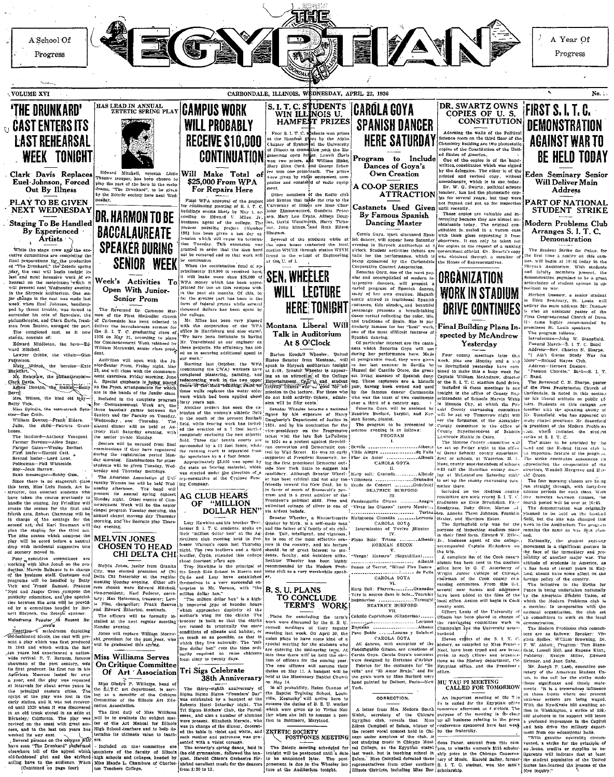

in shart.<br>Mr. Rencelaw, the philanthropist Clark Davis, the manischetty

Berry, Wilson, the kind old lany

Betty Vick,<br>
Miss Spindle, the mate-struck Spin-<br>
ster-Sue Crain.<br>
William Dowton-Frank Elders.<br>
Julia, the child--Patricia Graat-

thony Hall Saturday evening, the senior picnic Monday.

**MELVIN JONES** 

meeting

 $\frac{1}{2}$ 

cera chosen

house.<br>The landiord—Anthony Venegoni. The landiord—Anthony Venezora<br>
Farmer Stevens—Allen Segar.<br>
Farmer Gates—Wesley Boyinet.<br>
Piraf lorate—Encrold Catt.<br>
Piraf lorate—Lord Lent.<br>
Polderman-Phil Whiteside.<br>
Polderman-Phil Whiteside.<br>
Bays—Jack Barrow.<br>
Bank m

Since there is no storecraft class nce there is no stagecraft class<br>term, Miss Leitu Roach, Art in-<br>tor, has selected students who<br>taken the course previously to<br>le the staging. Jay Friedlind will the scenes for the first and fourth acts. Robert Chamness will be in charge of the settings for the second net, and Karl Baumann will second acc," and National William William to staging for the third acc.<br>The nine seenes which compose the play will be acceled force a neutral<br>drop will be acceled before a neutral<br>of or p with incidental suggestive bits<br>o

Four executive committees are<br>orking with Miss Jonah on the proworking with Miss Jonah on the pro-<br>degrien. Marvin Balance is in charge of the husiness staff. Costumes and<br>programs will be bandled by Botty<br>Vick and Trank Sanual. Frances<br>Note that when Sanual is exposed to<br>publicly com ties between the acts will be provided by a committee headed by Burnett Shryock, the Zetette sponsor. nect survock, the zetept sponsor.<br>
Melodrama Popular An Recent Re-

ishioned ideals, the cast will pre Fold-familiance ideals, the cast will present a play which was first produced in 1843 and which within the last<br>tien years has experienced a nation-wide revival . P. T. Baraum, fancous<br>whose revival . P. T. Baraum, fancous Agierican Museum lasted for over year, and the play was repeated intervals for about seven years in principal eastern cities.  $T$ he b principal eastern cities. The physical eastern cities, The physical rate of the physical rate of the physical control and transfer change of the change of the change of the change of the change of the change of the chang cess, and in the last ten years has

cess, and in the set of the central of the central of the set of the task of the set of the set of the set of the set of the set of the set of the set of the set of the set of the set of the set of the set of the set of th

Starting last October, the WPA (continuing the CWA) workers have<br>completed platesting, painting, and redecorating work in the two upper<br>redecorating work in the two upper<br>theories with the redecorating results of the two s uent exercises, Friday morning, Jun 5. Special emphasis is being pla are in the hands of the Junfor class are in the mass of the summer cases.<br>The land in the complete program<br>for Commencement Week are the<br>three baseball games between the<br>Seniors and the Faculty on Tuesday. forty years ago.<br>
Another project has seen the ex-<br>
tension of the women's athletic field

to the south of the present football Wednesday and Thursday. The alumni dinner will be held at An **The** lifield, while fencing work has included ed the erection of a 7 foot barrier completely enclosing the pay othictic completely enclosing the new athletic list.<br>
Gidd. Three clav tensis courts are<br>
surrounded by a 12 foot fence, while<br>
the running track is separated from<br>
the running track is separated from<br>
the spectators by a 4 foot fe one senior picare acquasy.<br>Seniors will be excused from final<br>examinations if they have registered<br>during the registration period Monday morning. Examinations for other

Approximately \$3,000 was spent by as morning, Examinations for year-<br>students will be given Tuesday, Wed-<br>needay and Thursday mornings. the state on fencing material, which was erected under the direction of a The American Association of Uniing Company.



Anadox alternoon. The band will be held Wool<br>
alternoon. The band will be held Wool<br>
alternoon. The band will be held Wool<br>
alternoon. The band alternative control of the sensity<br>  $\begin{bmatrix}\n\text{Nonedge neighbor} \\
\text{in the number of two steps}\n\end{bmatrix}$  increas Laty Hawkins and the tother Thor, They Hawkins and the former S. I. T. C. students. speke on<br>their "million dollar hem" at the Ag-<br>riculture club meeting held in Pro-<br>risespectrum to the effect of the respective respective **CHOSEN TO HEAD** CHI DELTA CHI

Melvin Jones, junior from Granite acout rourneen years ago.<br>Troy Hawkins is the principal of<br>the South Side School in Hercin and City, was elected president of Ch<br>Delta Chi fraternity at the regula and Luty have established anu 2000 -<br>ves in a very successful en<br>in Mt. Vernon, with "the Monday evening Other  $\sim$ ng moneta Edward manu-Edward Mitchell illion dollar hen."<br>"The million dollar hen."<br>"The million dollar hen" is a high vice-president; Karl Federer, secretury; Max Helnzman, treasurer; Lew<br>is Pike, chancellor: Frank Reever<br>and Edward Etherton, sentinels.

....<br>er

B. S. U. PLANS

tion in Baltimore, Maryland

The Zatetic meeting scheduled for

ly improved type of brooder house<br>which approaches duplicity of the<br>mother's wing for the chicks. The The officers will be formally in-<br>stalled at the next regular meeting<br>Monday evening. brooder is built so that the chicks rateed in proctically the some caditions of climate and habitat, or Jones will replace William Moraw-<br>skl, president for the past year, who<br>will be graduated this spring. conditions of climate and assumed as the set of the possible, as that in which they live naturally. The "mil-<br>lug-live naturally. The "mil-<br>lug-live naturally. The "mil-<br>lug-live real" cust the thine ovir-<br>lug-live require

#### Miss Williams Serves On Critique Committee<br>Of Art 'Association Tri Sigs Celebrate

38th Anniversary

the Salary's P. Williams, head of<br>the S.I.T.C. art department, is served<br>ing as a monitor of the Critician<br>Committee of the Illinois Art Education<br>cannot Association. JOUR ALIENT STREET THE TRANSPORT OF THE STREET THE STREET REPORT TO RECEIVE THE STREET TO STREET THAT THE STREET THAT THE STREET THE STREET THAT WE WERE WERE WERE THE STREET TO THE STREET THAT THE WASTEM WAS THE CHARGE THE The first duty of Miss William<br>will be to evaluate the subject main will be to evaluate the subject main<br>ter of the Art Manual for Hilinot<br>High School Jeachers and to belp de

Barton Kendall Wheeler, United<br>States Senator from Montana, will<br>speak in Shroods auditorium tonight<br>at 8:00. Senator Wheeler is appear-<br>ing as an attraction of the College Entertainment. On a sudent

do not hold activity tickets, admiswho was the toast of two continents sion will be fifty cents over a third of a century ago. sion will be fifty cents.<br>
Seather Wheeler beams a national<br>
Seather Wheeler beams a farry<br>
Daugherty's Department of Justice in<br>
1924, and by his commandon for the<br>
1924, and by his commandon for the<br>
1926, and by the lat Beatrice Burford, harpist, and Norman Secon, planist.<br>
man Secon, planist.<br>
The program to be presented<br>
morrow evening is as follows:<br>
PROGRAM

La production and the control of the second the product of the second the second term in the second of the second of the second of the second of the second of the second of the second of the second the second of the secon supporter of President Roos the the first prominent Democrat out-Vork Stete to surre

side New York State to suggest his<br>condidery. Although Senator Wheel<br>er has been critical and not any too<br>friendly toward the New Deal, he is<br>in favor of much of Roosevelt's pro-<br>gran and is a great admirer of the<br>Presiden gest n.m.<br>Wheel Hurp soli: Granada. Note that the concentration of the contract of the contract of the contract of the contract of the contract of the contract of the contract of the contract of the contract of the contract of the contract of the contract of .u.<br>Fendanguillo Gitano inlimited coinage of silver is one of "Vivan las Gitapas" (sacro Monte)... his ardent beliefs.

Vietnam State Charles Contract Contract Contract Contract Contract Contract Contract Contract Contract Contract Contract Contract Contract Contract Contract Contract Contract Contract Contract Contract Contract Contract Co his ardent beliefer.<br>
Example Mether, a Massachusetts<br>
Quaker by birth, is a self-rande man and the father of  $\tilde{\alpha}$  family of six child<br>
alone. Tall, intelligent, and vigorous,<br>
he is one of the most effective oralizat

by

the famous dancer Carmencits

Fenorits Gove will be assisted by

Albanis

Azagr

Interaction 11.<br>
Plano Solo: Triana 11.<br>
NORMAN SECON V.

Alternative Market (in the Hand form, Edward V, Mickey and the delayer of the college, incomposited Capitals McAndrew on the delayer of the Cook courty of the strip of the control of the strip of the control of the contro "Venga! Maestro" (Seguidillas) Flance of Terror, "Ritual Fire Dan recommended by the Modern Problema club as a very worthwhile speak CAROLA GOYA

 $111$ 

vi.<br>Harp Soll: Playera.........Granados<br>Vers la source dans le bots...Tournier Improuviso ... .<br>Tarengh VI80 .................T<br>BEATRICE BURFORD

Caballo Caprichoso (Gitanerias). ernas)<br>--- Lecuom<br>-----Albeni<br>- y Salaber Champaign and the University neigh-.<br>borhood. pracou.<br>Eleven contes of the S. I. T. C.

Eleven copies of the S. I. T. C.<br>Itistory, as compiled by Miss France Notel, have been typed and are better<br>priven to such citities and organized<br>tions as the History department, the<br>Eryptian office, and the President's<br>E All dances, with exception Fandameulilo Gitano, are creations of Fandamgullio Gitano, are creations of Carola Goya's costumes<br>were designed by Hortense d'Arblay<br>Fabrics for the costumes for "See<br>Tabrics for the costumes for "See the See The Tabric" and Tabrics has been<br>the gown worn by **MU TAU PI MEETING<br>CALLED FOR TOMORROW** 

#### CORRECTION.

Fi is called for the Egyptian office A letter from Mrs. Medora Smith tomorrow afternoon at 4 o'clock. The ZETETIC SOCIETY<br>POSTPONES MEETING

The Zatelic meeting scheduled for each concept and Egyptian states have been arefore that the meeting schedule of the concept and the second result in the second results of the second results of the second results of the

Address-Herbert Duenow.

Passion Chorale," Bach-S. I. T. Band. The Reverend C. N. Sharne, paster

Captain William McAndrew

Included in these meeti

Lawrence Hinkle in Cairo.

mittee there.

ing at McLeansloro Saturday night

to set up the county canvassing com

increases.<br>Included on the Madison county

An important meeting of Mu T:n

of the S. L T. C. stadium fond drive

director

— 1.

The Reverend C. N. Sharpe, pastor<br>of the Pirat Presbyterian Church of<br>Carlomdale, is noted in this section<br>for this liberal attitude on public to<br>finite. Students an this campus are<br>familiar with the speaking ability of<br>Mi Included in these meetings is one<br>contributed in the office of County Sn.<br>eriftendent of Schools Maryla Web in<br>in Mounds City, at which the Pulasin<br>and County cancessing committee is<br>evaluated with the second County commi many chapel programs. Mr. Stansfield County committee in the office of<br>County Superintendent of Schools

in any change in<br>portunal. Mr. Stansfering of the Modern Problem and the student of the Modern Problem<br>settles at S. I. T. C.<br>The music to be betweld by the position of the music to be between<br> $\Gamma$  in the music to be prop uircetors, Wendell Margrave and Hurold Green.

The four morning classes are being The four morning classes are being<br>ratios to the counterpart of the counterpart of the minimum periods for each class. With<br>the minimum being between classes, the counterpart of<br>period will be over at 10:45.<br>The demonstrat Included on the Maldson county; unitate performance of these conductions of the specifical conductor of the Society Conductions, Tay-1, four-thermal Society and Society of Social Society of Social Society of Social Societ

purpose of inspecting stadium plans remains the same as was first plan-<br>in their final form. Edward V. Miles, and

ned.<br>
Mationally, the student anti-wer<br>
movement is a cignificant gesture in<br>
the face of the inmediaty and pro-<br>
bability of another major war. The<br>
stitlude of students in America, as it has been of recent years in Eng-<br>hand, should have some affect on the foreign policy of the country

The initiative in the Strike for vessing commutees. From this i.i.d. The initiative in the Strike for several new names and addresses [Feace is being undertaken nationally large the control of the last of the Up the American Stadient Union, of local offi

emonstration.<br>The Modern Problems club committees are as follows: Speaker: ices are as folows: Specker: Virtual Bottom (1993)<br>
F. T. W. Abbott, Porgram: Tom Standard Gallen, William Specker<br>
Gald, Lowell Hill, and Engene King; Polyblicity: Evelyn Millier, Edward<br>
Millier, Specker<br>
Millier, Speck

these significant and timely statethese significant and threely state-<br>menter. "It is a tremendous infinience<br>on those fronts where our present<br>mitiwar actions are being waged.<br>With the Nye-Krais bill awaiting ac-<br>tion in Washington, a strike of 350,-<br>a ve a profound impression in the Capitol and holp drive the military depart-

ment from our educational halls.<br>"With genuine neutrality ci vanta genuine neutrality circum-<br>vented, a strike for the principle of<br>no, loans, credits or supplies to be-<br>lignerents will indicate that at least<br>the student population of the United<br>States has leasterned the lessons of Nye inquiry.'

#### TO CONCLUDE<br>TERM'S WORK  $\bar{\mathrm{v}}$ Plans for concluding the runs for concluding the term's<br>work were discussed by the B. S. U.<br>council members at their regular<br>meeting last week. On April 30, the Ensueno<br>Paso Doble .....Lozano<br>CAROLA GOYA union plans to have some kind of a special meeting for the students wh are entering the mid-spring term. W

tion of officers for the coming year.<br>The new officers for the coming year.<br>The new officers will assume their<br>duties on May 11. A banquet will be<br>beld at the Missionary Baptist Churci. un May 14.<br>In all probability, Helen Cannon of

## York. the Baptist Training School, Louis<br>ville, Kentucky will arrive here to essuive the duties of B. S. U. worker

A letter from Mrs. Medors Smith (someon at 4 octoor The Chock The Wales, secretary of the Chicago purpose of the meeting is the cherr Experiment Chicago in the Marsh up all business reading to the press.<br>Eigenpal of Salem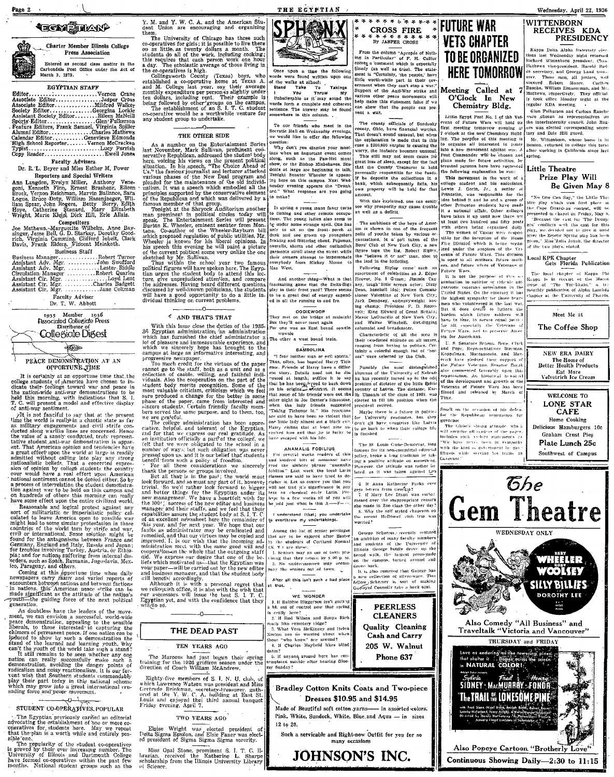## **TECN STAND**



Press Association Entered as second class matter in the Carbondale Post Office under the Act of March 3, 1879.

#### **EGYPTIAN STAFF**

Editor. The State Figure Cross<br>Francois Mildred Walker<br>Francois Mildred Walker 

#### **Faculty Advisers.**

Dr. R. L. Beyer and Miss Esther M. Power Reporters and Special Writers

response Rangen Miller, Arthony Vene-<br>goni, Kenneth Finn, Ernest Brashear, Eileen<br>Brock, Veneon Reichman, Marvin Ballance, Sara<br>Logue, Bruce Doty, William Hasenjaeger, Wil-<br>Liam Spear, John Rogers, Betty Berlinn Spear, Mon

Competitors<br>
Competitors<br>
Joe Mathews, Marguette Wilhelm, Anne Bay-<br>
singer, Jesse Bell, G. D. Starkey, Dorothy Good-<br>
rich, Virginia Cummins, Clifford Ituelt, Clark<br>
Davis, Frank Elders, Niticent Meinkoth. **Business Staff** 

 $\begin{tabular}{l|c|c|c} & \multicolumn{1}{c}{\textit{numbers}} & \multicolumn{1}{c}{\textit{SU}} \\ \hline \multicolumn{1}{c}{\textit{As}}{\textit{is}} & \multicolumn{1}{c}{\textit{A}}{\textit{or}} & \multicolumn{1}{c}{\textit{R}}{\textit{or}} & \multicolumn{1}{c}{\textit{A}}{\textit{or}} & \multicolumn{1}{c}{\textit{As}}{\textit{is}} \\ \hline \multicolumn{1}{c}{\textit{As}}{\textit{is}} & \multicolumn{1}{c}{\textit{A}}{\textit{or}} & \multicolumn{1}{c}{\textit$ Amazon Sworrord<br>Abbert Riddle<br>Abbert Quarles<br>Abbert Quarles<br>Abbert Colman<br>Abbert Colman<br>Abbert Colman Assistant Cir. Mgr.

Faculty Adviser<br>Dr. T. W. Abbott

|  | 1935 Member 1936<br><b>Associated Collegiate Press</b> |  |
|--|--------------------------------------------------------|--|
|  | Distributor of<br>Collegiate Digest                    |  |
|  |                                                        |  |

PEACE DEMONSTRATION AT AN OPPORTUNE TIME

It is certainly at an opportune time that the it is certainty at all opportunity that the charge of the college stidents of particle and phase in dicate their feelings toward war and peace in the nation-wide anti-war demonstrations to be the natural morning, with indications to be<br>the held this morning, with indications that S. I.<br>T. C. will present a model and effective display<br>of anti-war sentiment.

To communicate the model and effective dispay<br>of anti-war sentiment.<br>  $\gamma$ It is not fanciful to say that at the present<br>
first in the model is realized in a chaotic state as far<br>
as military emparements and civil strife c

From the state of the control the minimization can be the control and logical protest agents and controlling the controlling of the minimization of the minimization of the minimization of the solution of contries of the wo

in nations, musics and between factions<br>in nations, the capacity American base significant as the attitude of the can be<br>prouti-the guiding force of the next political generation.

From growing force of the movements<br>of generation.<br>A doublets's have the leaders of the move-<br>method, appear and the movement method in the set of the state in<br>the phenomenon in the state of the state of the state of the<br>d sading torce and peace movement.

### د. ن

STUDENT CO-OPERATIVES POPULAR The Egyptian previously carried an editorial advocating the establishment of one or more coordinate of the statistic method of the respective that the plan is a worth while and ontirely position sible one

sible one.<br>The computarity of the student co-operatives<br>is proved by their ever increasing number. The<br>University of Illinois and Dartmouth College<br>have formed co-operatives within the past few<br>months. National student gro

Y. M. and Y. W. C. A. and the American Student Union are encouraging and organizing ther in.<br>The University of Chicago has three such

The University of Chicago has three such co-operatives for guiss; it is possible to live there are on a sittice as twenty dollars a month. The students do all of the work, including cooking; a fit is requires that each pe

#### THE OTHER SIDE

. THE OTHER SIDE THE STATE OF THE SIDE . As a number on the Entertainment Scries between the Reference of the method since the state of the since of the since of the since of the since of the since of the since of the sin

## *C* AND THAT'S THAT

With this issue close the duties of the 1935-36<br>proption and administration and administration and the which has furnished the chief administration<br>which has furnished the chief administrator and both of pleasure and under

campus a large an informative interesting, and<br>progressive newspaper. Informative interesting, and<br>progressive newspaper.<br>To much credit for the virtues of the paper<br>collection of catalle. Willing, and faithful indi-<br>virtu

we are gravetui.<br>The college administration has been appreciative, helpful, and for that we can<br>real gravitude and for that we cappear our real gratitude. As<br>an institution of ficially, a part of the college, we

and for that we versue sour real gratitude. As<br>an institution officially a part<sup>7</sup> of the college, we gett that we were obigated to the school in a gummer of ways; but such obligation was never<br>pressed upon us, and it is and business manager, and that the student body

and ousiness manuater, and that the student body<br>call benefic accordingly.<br>This with a personal regret that<br>we relinquish office, it is also with the wish that<br>we relinquish office, it is also with the wish that<br>Egyptian y

THE DEAD PAST

TEN YEARS AGO

Eighty-five members of S. I. N. U. club

which Lawrence Watson was president and Miss<br>Certrude Brinkman, secretary-treasurer, gathered at the Y. W. C. A, bailding at East St.<br>Locuis and enjoyed the illinium and banquet<br>Triday evening, April 7.

TWO YEARS AGO

Elpise Wright was elected president of Delta Sigma Epsilon, and Elsie Faner was elected president of Sigma Sigma Sigma sorority.

Miss Opal Stone, prominent S. J. T. C. librarian, received the Katherine L. Sharpe scholarship from the Illinois University Library

of Science



THE ECYPTIAN

upon a time the following nd written upon one the walks at school:  $\frac{10 \text{ km}}{100}$ <br>  $\frac{100 \text{ km}}{100}$ <br>  $\frac{100 \text{ km}}{100}$  $Taking$ Stand

VALL<sup></sup> Four Throw My<br>Hubelievable as it may sound the<br>words form a complete and coherent<br>sentence. The answer may be found<br>somewhere in this column.

To our friends who meet in the Socratic Hall on Wednesday evenings we would like to offer the following uestion

The Contraction of the Contract Comes<br>
Why don't you dismiss your must<br>
ings when an important event comes<br>
along, such as the Pan-Hel stunt<br>
show, or the Bishop Mishelaves. Sludents at large are beginning to talk.<br>Tonight Senator Wheeler is appearing here on this campus. Next Wed nesday evening appears the "Drunk What response are you going u.u.<br>\*\* make?

In spring a young mans fancy turns to fishing and other remote occupa-<br>tions. The young ladies also seem to be under some strange spell. One has only to sit on the front porch and<br>dusk and see grown up youngsters<br>frisking and flittering about. Pajamas,<br>overalls, shorts and other outlandish<br>garanonts stroll along the street while their owners attempt to impersonate verybody from Mickey Mouse Mae West.

And another thing-What is that Explanation game that the Delta-Sign<br>play in their front yard? There seems<br>to be a great deal of energy expended<br>in all the running to and fro.

**OODIEWOOR** on the bridge at midnight Thor mat

some at midnight and they'll never meet again.<br>For one was an East bound cowsite wowsie The other a west bound train

## BAMBOLINA

"I fear neither man or evil spirits."<br>Thus, often, has boasted Harry Tich

Thus, often, hus logated Harry Tiese and the<br>respect to energy the most distinguisation of Harry Davis a different<br>probability the most distinguious of the distinguious of the Universal<br> $\gamma$  of New Table and the distingui other than laby friends suggested<br>"Taking Tichenor In." His reactions<br>are suid to have been so violent that<br>one little lady almost got a black eye.

one little lady almost got a black e<br>Harry claims that at least nine<br>saulted hun and that he is lucky<br>have escaped with his life.

#### ANAMALIS FOBILIUS

several weeks readers of this and kindred bits of nonsense nave cal kindred bits of nonsense navy<br>calculate situation of the situation of cool due situation and the<br>calculation of classes are said to have tried to de-<br>classes are said to have tried to de-<br>classes are said to have trie

I understand (that) you undertake<br>a everthrow my undertakings,

Among the list of senior privileges<br>that are to be enjoyed after Easter<br>by the students of Cortland Normal (N. Y.) are these: 1. Seniors may go out of town pro

ioner that they caturn by \$100 p. 10 undercussinen may accomany the seniors out of town  $\sim$ 

After all this isn't such a bad plac

WE WONDER 1. If Rainhie Higgerson isn't gotting bit out of control now that spring. eataily acts.<br>2. If Red Wilson and Souva Rick. 2. If Rod Wilson and Soliya Richard<br>
2. It Rod March (1992)<br>
3. What Vera McKinney and Helen<br>
Norston are so worried about when<br>
those "who know" are uround?<br>
4. If Charles Mayfield likes blind. those dntes ?

The Marcous had just begun their spring<br>training for the 1926 griditon season under the<br>direction of Coach William McAndrew, untes:<br>5. If anyone around here has con-<br>templated suicide after hearing Gloo ny Sunday?

of



Made of Beautiful soft cotton yarns-- in assorted colors; Pink, White, Sundeck, White, Blue and Aqua - in sizes 12 to 20.

Such a servicable and Right-now Outfit for you for so<br>many occasions

## JOHNSON'S INC.



From the column "Apropsis of Neth-<br>
From the column "Apropsis of Neth-<br>
ing in Deriveduer" of P. H. Collier<br>
(cone a comment which is expected<br>
(cone) a comment which is expected<br>
inter the Cordinary, the produc-<br>
ment is

The county officials of Sandusk ounty, Ohio, have financial worries county, chino, have financial worries.<br>That doesn't cound unusual, but when<br>the explanation is made that in this<br>case a \$200,000 surplus is causing the<br>worry, the instance becomes unusual.<br>This still may not seem cause for that the County Treasurer is held personally responsible for the funds personally responsible for the funds.<br>If he deposits the collections in a<br>bank, which subsequently fails, his<br>own property will be held for that<br>amount.

With this explained, one can easily see why prosperity may cause trouble as well as a deficit.

The ambitions of the boys of American is shown in one of the frequent polls of youths taken by various or-<br>ganizations. In a poll taken of the .<br>Boys' Club of New York City, a new figure tops the list. Robert Ripley, the "believe it or not" man, shot to the lead in the balloting. Following Ripley came

esortment of celebrities as J. Edgar Hopver, No. 1 G-man: Jimmle Cas ner tough little screen actor: Dizz ney, tough' little screen actor; Dizzy<br>Denn, baseball idol; Poltec Commutationer Valentine of New York City;<br>Jack Dempsey, ex-heavyweight bove<br>ing champ; President F. D. Roose-<br>vell; King Edward of Great Britais;

Mayor LaGuardia of New York City; and end Walter Winchell, dirt-digging<br>columnist and broadcaster. Characteristic of all the men is<br>their (wo-fisted attitude on all issues

ranging from boxing to politics. Cer tainly a colorful enough list of "her es" were selected by the Club.

Possibly the most distinguished<br>shumnus of the University of Nebrus<br>ka has recently turned up in the odd<br>position of dictator of the little Baltica other picht in Joe Dexter's limonsine, letected to fill his position when the president retired.

Maybe there is a future in politics<br>for University graduates, but they<br>den't all have countries like Latvia  $\frac{100 \text{ m}}{10 \text{ s}}$  to go back to when their college life<br>to go back to when their college life

The St. Louis Clobe-Democrat. Jons I The St. Louis Globe-Democrat, long<br>Innous for its non-committal editorial<br>policy, broke a long tradition by tak-<br>imp a positive attitude on something,<br>However, the attitude was rather be<br>beted, as it was taken against Le White the Kun<br>Himnis while<br>Governor,"

6. If Anna Katherine Parks ever<br>gets letters from Georgia?<br>7. If Mary Lee Dison was embar<br>7. If Mary Lee Dison was embared over the mappropriate remark<br>she made in Zoo chass the other day? S. Why the self styled chaperon on<br>the recent McDowell club trip was vorried?

George Scherrer, recently realized<br>an ambition of many faculty members<br>and smidents of the University of<br>liftnois. George bodily draw<br>bread walk, the largest promepade<br>on the campus, turned around and<br>on the campus, turned 

This show rumored that George has collection of silver-ware. This fellow Scherrer is sort of making

**PEERLESS CLEANERS Ouality Cleaning Cash and Carry** 

205 W. Walnut Phone 637

Bradley Cotton Knits Coats and Two-piece

**PRESIDENCY** 

Wednesday, April 22, 1936

RECEIVES KDA

Kappa Delta Alpha (ratertuty elections hast Wednesday night returned<br>Itichard Wittenborn president, Chastitathews vice-president, Harold Buch<br>attachews vice-president, Harold Buch<br>de secretary, and George Land Irea-

Mr. Wittenborn, whose home is in

Benton, returned to college this term

Prize Play Will

"No One Can Say," the Little The-<br>titre play which won first place in<br>the Cape Girardeau contest, will be<br>presented in chapel on Friday, May 8.

"Because the cast for "The Drunk-<br>ard" conflicts with the cast for this

ard commens went and cast for this<br>play, we decided not to give it must<br>gifer the Zeteler Spring play bas been<br>given," Miss Mulla Jonah, the director<br>of the two plays, stated,

Local KPK Chapter<br>Gets Florida Publication

The local chanter of Kanna Phi

Kappa is in receipt of the March

issue of "The Tor-Blight," a tra<br>monthly-publication of Alpha Lambda<br>chapter at the University of Florida

Meet Me at

The Coffee Shop

NEW ERA DAIRY

The Home of<br>Better Health Products

Eat More<br>Velvetrich Ice Cream

WELCOME TO

LONE STAR

**CAFE** Home Cooking

Delicious Hamburgers 10c

Graham Crust Pies

Plate Lunch 25c

Southwest of Campus

**WHEELER** 

WOOLSEY

SILLY BILLIFS **DOROTHY LEE** 

 $\frac{1}{2}$ 

 $\mathcal{E}he$ 

**Gem Theatre** 

WEDNESDAY ONLY

Also Comedy "All Business" and<br>Traveltalk "Victoria and Vancouver"

THURSDAY and FRIDAY

Also Popeye Cartoon "Brotherly Love"

Continuous Showing Daily-2:30 to 11:15

Love as enduring method provering pines.<br>that shelter if ... (Gines provering pines)

Sylvia Fred Henry:<br>SIDNEY MacMURRAY FONDA

**The TRAIL ## LONESOME PINE** 

ued Stane Migel Bilta, Beulah Band<br>• Mifelland, Forry Knight, Awalasah

Be Given May 8

WITTENBORN

...

ana.<br>Spriug

Meeting Called at 7<br>O'Clock In New<br>Chemistry Bldg. Color Publerson and Carlico Rascher<br>were chosen as representatives on<br>the interfractivity council, John Ros-<br>ers was elected corresponding secre-<br>ters was elected corresponding secre-Little Egypt Post No. 1 of the Veterans of Future Wars will hold its<br>Trat meeting tomorrow evening at<br>To clock at the new Chemistry Build

**TO BE ORGANIZED** 

**HERE TOMORROW** 

ug. The purpose of this meeting is to organize all interested in pace juto a new movement ogainst with A enst Commander will be chosen a Post Commander will be chosen and<br>plans made for future activities, in<br>terested persona here have requested

plans made for thinre activities.<br>terested persona here have reque-<br>the following explanation be run: Little Theatre

This movement is the work of a<br>college student and this associates.<br>Lewis J. Gorin, Jr., a senhor at<br>Princeton, was responsible for the<br>dies behind it and be and a group of<br>other Princeton students have made it as<br>the othe bave taken it up until now there are at least two hundred and fifty nostwith others being organized daily exth others helang organized daily<br>
The woman of Vassar were responsible for the increasion of the Home<br>
File Division which is being organized<br>
File Division which is being organized the Cernalist<br>
File and Teture Wars. T

Future Wars.<br>It is not the purnose of this of

It is not the purpose of these and the state of the statistical values<br>and animalization to satisfize or riducule any control values as<br>possible in the highest sympathy for those bears when the highest sympathy<br>for the be

resule ware .....<br>ica for Americans. U. S. Senators Benson, Bone, Clark



.<br>Snadi on the oceasjon of his defea.<br>for the Republican nomination for governor The Globe's strong attitude, which will surprise all readers of the page includes such velect statements an e euro in cine european en .<br>- Acryc nevez hoen in synoath w. "We nove an or account to<br>with the kind of government luc<br>Hinnois while serving has terms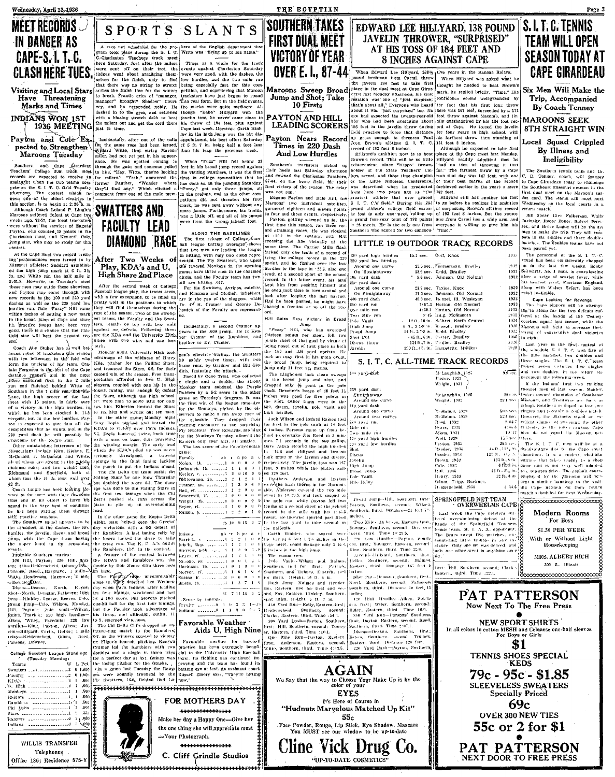IN DANGER AS

**CAPE-S. I. T. C.** 

**CLASH HERE TUES.** 

Visiting and Local Stars<br>Have Threatening

Marks and Times

1936 MEETING

INDIANS WON 1ST

Payton and Cole Ex

pected to Strengthen

Maroons Tuesday

Southern and Cape Structural Teachern College dual track measurements records are expected to receive an ordinary refers to the property of pair contents of the content of the content, which respectively. The content, the

Although Coach Leland P. Lingle's Attoog a Goden Ledand P. Lingle's<br>Maroons suffered defeat at Cape type<br>vecks ugo, 73-57, the local tracksters<br>were without the services of Eugene<sup>D</sup><br>Payton, who counted 18 points in the<br>Cuarleston meet, and Kenneth Colo,

jump star, who may be ready for this

At the Cape meet two record breaking 'porformances were turned in by<br>Missouri athletes: Goddard established the high iump mark at 6 ft. 31/2

in. and White ran the half mile is

2:01.8. However, in Tuesday's meet these niep may outdo these showings

inntest.

events.

eatts.<br>Probable Southern entries:

From Hill, Payton: 228- Hill, Ray<br>
ten Hill, Payton: 228- Hill, Ray<br>
ten; 440-Heiderscheid, Odunn, 238h<br>
Paytons, Reed, Harstrave, 1 Initio-<br>
Witte, Henderson, Harstrave, 12 milio-<br>
- Downey Corr.

Discus-Beason, North, Reyes;<br>Shot--North, Demster, Fatheree; High

junp-Hinkley, George, Reeves, Colo

Broad jump-Cale, Wilson, Munday

prona junio – Cine, vision, American Historical Philosopher (1990)<br>Rains, Taricck; 129 high lurelles–<br>Aikeep, "Wiley, Pareduis; 229 how<br>Jardles–King, Payton, Aiken; Jav<br>(ii) – Hillyard, Cartis, Heller; 1 mile

iclay-Heiderscheid, Odum, Reed

College Baseball League Standings<br>(Tuesday Morning)<br>Toams W L Po

. . . . . . . . . . . . . . . . . . . 3

rannbers<br>
1.500<br>
Chi Dotts<br>
1.500<br>
Chi Dotts<br>
5.300<br>
1.500<br>
1.500<br>
1.500<br>
1.500<br>
1.500<br>
1.500<br>
1.500<br>
1.500<br>
1.500<br>
1.500<br>
1.500<br>
1.500<br>
1.500<br>
1.500<br>
1.500<br>
1.500<br>
1.500<br>
1.500<br>
2.400<br>
2.400<br>
1.000<br>
3.600<br>
1.000<br>
3.600<br>
1

WILLIS TRANSFER

Telephones

Office 186; Residence 575-1

 $1.11$ 

,61

 $\pm 0$ 

 $\frac{.50}{.500}$ 

swatters ... : . . . . . . . . . . . . . . . 2

Faculty and commences and

Parsons, Downey,

Toanis

KDA:

1). High

Monkeys

.<br>Rajders

### THE ECYPTIAN

## II'SOUTHERN TAKES **FIRST DUAL MEET VICTORY OF YEAR OVER E. I., 87-44**

Maroons Sweep Broad Jump and Shot; Take 10 Firsts

PAYTON AND HILL **LEADING SCORERS** 

Payton Nears Record Times in 220 Dash And Low Hurdles

Southern's tracksters nicked us their heels last Saturday afternoor \$7.44 on the home field file that first victory of the season. The relay<br>was not run.

Itself in time.<br>
In the sign of the calls of the fight function in the big distribution, and the sign of the calls of production, his best effort Saturday and the state in this space. The state in the space of the state o was not ren.<br>Eugene Payton and Dale Hill, the<br>Marcons' two individual satellites.<br>garnered eighteen and eleven points In four and three events, respectively

In four mail three overts, respectively.<br>
Phyton, getting warmed up for the<br>
Thrs. time this season, rm three re-<br>
ord attraining races. He was clocked<br>
at :101, in the century, with Hill<br>
area clocked<br>
creating the leadin sprint, and he flashed over the low burdies to the tape in  $-25.6$  also one

Showles to the tape in  $\sim 25.5$  also one functional between the state level of a second short of the school, record. In the latter event, his lead the seven than from positing blinnes of the box after leapting the lower

\$80 yard run  $\omega_{\rm ac}$  mile run oré. Two Mile run **Date: Vanti** 

ora.<br>
Hill Gains Easy Victory in Broad<br>
"Puzzy" Hill, who has averaged<br>
thirteen points per meet, felt two<br>
points short of that goal by virtue of Pole Vanti<br>|High Jump<br>|Proad Jump<br>|Shot Put<br>|-Javelin

points start of that goal by virtue of<br>being mosed out of first place in both<br>the 100 and 220 yard sprints. He<br>tock an easy first in this main event,<br>the broad jump, being required to<br>jump only 21 feet 714 inches. The Linglemon took clean sween

The Linguensian took clean sweets<br>for the broad jump and slott, and<br>dropped only  $\frac{M}{2}$  point in the pole<br>frault. Densite's besse of 40 feet 11<br>inches was good for fire points in<br>the side. Other firsts were in the<br>side. high hurdles.

 $[100] \begin{tabular}{l|c|c|c} linear data, but then the  
linear data is the same as follows. \\ \hline \hline $I$ is the same. \\ \hline $I$ is the same. \\ \hline $I$ is the same. \\ \hline $I$ is the same. \\ \hline $I$ is the same. \\ \hline $I$ is the same. \\ \hline $I$ is the same. \\ \hline $I$ is the same. \\ \hline $I$ is the same. \\ \hline $I$ is the same. \\ \hline $I$ is the same. \\ \hline $I$ is the same. \\ \hline $I$ is the same. \\ \hline $I$ is the same. \\ \hline $I$ is the same. \\ \hline $I$ is the same. \\ \hline $I$ took firsts in the javelm and discu-

took ursts in the javelin and downe.<br>respectively. The javelin toss was 167<br>feet, 9 inches while the platter sail-

1 feet, 9 inches while the platter suil-<br>
(a) led 120 feet.<br>
1 pathses Auderson and 12s/ton<br>
0 week plasm the bins on the Maroouv of the American control of the two min<br>
0 event in 110 22.5, and took second in the other i 

6 in-lass in the high jump. The summaries

The sammaries:  $\begin{minipage}[t]{.5em} \begin{tabular}{|l|l|} \hline True & number of.\\ \hline True & True & for.\\ \hline True & True & for.\\ \hline True & True & for.\\ \hline True & True & For.\\ \hline True & True & True & For.\\ \hline True & True & True & See\\ \hline True & True & True & See\\ \hline True & True & True & See\\ \hline True & True & True & See\\ \hline True & True & True & See\\ \hline True & True & True & See\\ \hline True & True & True & See\\ \hline True & True & True & See\\ \hline True & True & See\\ \hline True & True & See\\ \hline True & True & See\\ \hline True$ 

gan, Earstern, field for first and second in the anti-part of the part that  $\mathbf{H}(\mathbf{R}^{(1,1)},\mathbf{S}^{(2,1)}$  and the part that  $\mathbf{H}(\mathbf{R}^{(1,1)},\mathbf{S}^{(2,1)}$  are the part of the part of the part of the part of the part

**AGAIN** 

We Say that the way to Choose Your Make Up is by the<br>color of your

**EYES** 

"Hudnuts Marvelous Matched Up Kit"

 $55c$ 

Face Powder, Rouge, Lip Stick, Eye Shadow, Mascara<br>You MUST see our window to be up-to-date

Cline Vick Drug Co.

"UP-TO-DATE COSMETICS"

It's Here of Course in

#### IIS. I. T. C. TENNIS EDWARD LEE HILLYARD, 138 POUND JAVELIN THROWER, "SURPRISED" AT HIS TOSS OF 184 FEET AND **8 INCHES AGAINST CAPE**

When Edward Lee Hillyard, 1981/2 tive years in the Kansas Relays, pound freshman from Carmi. throw When Hillyard was asked what the javelin 184 feet to take first theorem. When Hillyard was asked what he<br>thought he needed to beat Brown's space free<br>hand freehome from Carni. three HM, when HHIyard was asked what he<br>distinguished from Carni carnitic close first (see the state of the distinguished better in the dual metallinest of Carnicle (see the state of

in 28 meets. He is the only one from everyone is willing to give him his

#### LITTLE 19 OUTDOOR TRACK RECORDS 120 yard high hurdles Golf, Knox  $1933$ 15.1 sec. 220 vard low herdies

25.5 sec. . Zimmerman, Bradley Around one curve 23.9 sec. Redd, Bradley<br>9.6 sec. Johnson, Old Normal On Straightnway<br>19. yard dash<br>22. yard dash<br>Around one curv<br>00 Straightnway 21.7 sec. Taylor, Knöx<br>21.2 sec. Johnson, Old Normal<br>48.9 sec. Hensel, Ill. Wesleyan 1:57.2 Hutton, Old Normal 157.2 Hutton, Old Normal<br>
157.2 Hutton, Old Normal<br>
1943. Hutton, Old Normal<br>
1941. 1941. Where, North Central<br>
164., 348 w. Ressell, Brudley<br>
24 ft., 358 in. Ressell, Bridley<br>
143 ft., 358 in. Ressell, Bridley<br>
143 ft.,

McLaughlin, 1925 Wright, 1932

Ma-Mahon, 199

McMahon, 1929<br>McMahon, 1929<br>Reed, 1932<br>Byars, 1931<br>Aiken, 1931<br>Woll, 1929

Paston, 1932

Last week the Cape netsters suf-

S. I. T. C. ALL-TIME TRACK RECORDS M: Laughlich 1925<br>Pierrer, 1933<br>Wright, 1931

100 yard-dásh 220 vard dash Straightaway<br>Around one curve

440 yard dash

Discus throw

44n yard dash assund one entry Around one curve<br>Around two curves<br>\$80 yard run<br>Mile run<br>Two nule run 120 yard high hurdle-220 vard low hurdles

Paytott, 1933<br>| Rouder, 1954<br>| Hauder, 1954<br>| Hauder, 1932<br>| Cube, 1933<br>| Tull. 1935<br>| Hunry, 1933<br>| Odum, Tripp, Buckner,<br>| Henry, 1933 Discus<br>
Javelm<br>
High Jump<br>
Broad Jump<br>
Pole Vault<br>
Mile Relay SPRINGFFELD NET TEAM<br>OVERWHELMS CAPE

Last week the Cape neighers suitable for the contribution of the Submitter of the Submitter (b) and the contribution of the contribution of the beam of the contribution of the contribution of the contribution of state of King, Southern, third. Time 25.6. davelife Hillyard, Southern, that

120 Hieli Hurdles - Aiken, Southern, accord.<br>
120 Hiely, Satthern, accord.<br>
1366 - Matern, accord.<br>
1866 - Yard Run-Parsons, Southern, accord.<br>
1866 - Yard Run-Parsons, Southern, 1974.<br>
1876 - Discuss-Deason, Southern, 197 er, Eastern, thrut, Thue (10.1.)<br>
[ Que – Mie – Russ – Russiern [Reyes, Southern, accuted. Trutork,<br>
[ Trais, Anderson, Eastern, second) [ Eastern, third. Distance 120 feet.<br>
Nitte, Southern, third. Time 4(43.5.) – 220 Yar



Page 3

Trip, Accompanied By Coach Tenney

**MAROONS SEEK 8TH STRAIGHT WIN** 

#### Local Squad Crippled By Illness and Ineligibility

The Southern tennis team and  $D_1$ .<br>C. D. Tennis, reach, will journey to the Southern the Corpe Girardeau today to challenge the Southeast Missouri network is first dual meet on the Wardeau Southern and The centure will m

Fourn macks.<br>
Bill Spear, Glen Fulkerson, Wally<br>Basinsky, Roger Bouer, Robert Peter-<br>ien, and Brace Logue will be the six<br>Nen to make the trip, They will comete in six singles and three double-<br>matches. The doubles teams have not men gen alle do.<br>Deen naired ver

seen parrou yet.<br>The personnal of the S. I. T. C.<br>squad has been considerably chopped squad has been tonsiderably chopped<br>with the last few weeks. Bobby<br>Schwartz, No. I man, is convalesing<br>after a seige of scarlet fever, while<br>his nearest rival, Morrison England,<br>along with Walter Syfert, has been<br>rived ine 1932

1928

1935

1930

 $-4.4$ 

1932 Participation<br>
1932 The Cape Looking for Revenge<br>
1933 The Cape Looking for Revenge<br>
1933 Ing To stood for the two defensions<br>
1931 conclude state hands of the Teamor-<br>
1934 conclude squared last season, while the<br>
1  $1925 \frac{1}{20}$  to eight. 1926<br>1929

to eight,<br>
Last year in the first contest of<br>
Last year in the first contest of<br>
the schydule, S. U.P. C. won five of<br>
there singles. The S. L.P. C. coan<br>
prained seven vertories, five singles<br>
and two doubles in the retur

9.3 sec. 3 and two doubles, in the return can<br>allow the following seeds.<br>
For the finding free text of the section of the behavior free text of the behavior of Southeast<br>
12.9 sec. 3 hours, Man Transform and behavior and mentiont the following seaso

Modern Rooms For Boys \$1.50 PER WKEK With or Without Light Housekceping MRS. ALBERT RICH 302 S. Illinois

first: Hill, Southern, second; Clark:<br>Eastern, third, Time :22.1. 



Incidentally, a second Cramer appears in the .600 group. He is Ken-<br>you: Cramer of the Ramblers, and brother to Dr. Cramer. good, there is a chance that the Fair field star will beat the present rec nines with two wins and one loss ra.<br>Coach Abe Stuber has a well bal--ach. Monday night University High took<br>advantage of the wildness of Harry<br>Kle, pitcher for the Falling Stars,<br>sud trounced the Stars, 6-3, for their anced squad of tracksters this season<br>with ten letternien in the fold who need squared for increases this season and more spectrum of the two-states of Harace spectrum in the forest of his centuries of the wideness of Harace compared in Figure 1. Some that the more is the form that the energy t

structure, a structure structure of the control of the control of the control of the control of the control of the control of the control of the control of the control of the state of the state of the state of the state of Are<br>about toss the *jt* lb, shot well ever<br>da fit.<br>Coach Lingle has been looking the<br>some to the meat with Cape rousses ward to the meet with Cape fou-some<br>time and in an effort to have his squad in the very best of condition

has been putting them through he has been patring them through<br>stiff paratic sessions.<br>The Southern squad appears to be<br>the strengtest in the dealers, the low-<br>hyprices, the javelin, discuss, and hond<br>jump, with the Cape team having<br>organize In the other same the Rappa Deltr In the other game the Kappa Delta<br> $\mathbf{A}$  and  $\mathbf{A}$  along the Greeks' day victor<br>since  $\mathbf{B}$  and  $\mathbf{B}$  and  $\mathbf{B}$ <br>defined in the base of detail of the base of the change radius of the base a last tantage radiu

by a 10-7 score. Bill Stevens pitched one-hit ball for the first four lunings. but the Faculty took advantage of



After Two Weeks of Entitial with only two clubs represents Play, KDA's and U, **Play, KDA's and U.** (We fixcused Molesgs in the opening High Share 2nd Place game, have three men in the channel and the strength and the Factor of the street the second week of College and here heting over the street wi

**DIAMOND RACE** 

these area may outdo these showings, and Payton may come through with rew yecords in the 100 and 220 yard law<br>taskels as well as the 100 and 220 yard law<br>dashes as well as the 220 yard low<br>dashes as well as the 220 yard lo

The Chi Delta Chi team outhit the The Chi Deta Est team out the<br>phase Star by the bind Thursday-<br>but doubled the score 6-3, The dam-<br>age was done to the Fulling Stars in<br>the first two infinity since the Chi<br>better putch the phase of the phase of the phase

dentities by 1600 shown and the land basis.<br>The Pierry Cape meantatubly The Pierry Cape in the School of the distribution<br>day when Tad's hadians, after hadians<br>the four minimize, waskened and lost<br>the four minimize, wasken

But the Pacolity took advantage of<br>this time, and although, outlit, if<br>the 1, merged victorious.<br>The Chi Delta Chi's droped an un-<br>The Chi Delta Chi's droped an un-<br>tinterousing match to the Rambiers,<br> $567$ , as the winner

 $28, 10, 9, 15, 6, 2$ ab 'r Indian .<br>Patrick. febelt. 3b-p.  $\ddotsc$ 

common and a senge in turbe these plants in the contrast rise of the anti-<br>for a perfect day at bat. Guiney was frame. Its fielding has continued in<br>the basin pickles for the Groeks, proving and the team has found its<br> $v$ 

-Your Photograph.

Favorable Weather Aids U. High Nine

31 7 11 18 Score by inning Freulty ......... 0 0 0<br>Indians' ........ 0 1 1

Cramer, ss. ... f.... 4 Hall, cf. . . . . . . . . . . . 3 Bracewell, 1f.  $\ldots$ . 3 

Smith, 2b. .........

(6-7, as the winners consted to victory)<br>cr. Pligor's four-int pitching. Reargon | Farorable | weather for | haschell<br>Cramer led the Rambiers with two | practice has heen extremely benefi-<br>doubles and a single in three tri

can's effective burling, the Swatters<br>
but safety twitter<br>
but safety twitters<br>
but safety twitter the attack.<br>
A cataring the attack.<br>
The fact the attack of the safety<br>
of single and a double, the triangle<br>
probable to t The first win of the began<br>a property property property of the objective of the state of the<br>state of the state of the state of the state of the state<br>difference of the state of the state of the state of the state<br>of the s

ALONG THE BASELINES ALONG THE BASELINES<br>The first release of College base-<br>hall league batting averages shows<br>that five men are leading the league

in hitting, with only two clubs repre

SPORTS SLANTS

A race not scheduled for the pro- lears of the English denarment that  $\alpha$  race not scheduled for the pro- lears of the English denarment that  $\alpha$ -character track red to the track of the construction. There is a race of

is the total line for the winner pettiton, and considering that Maroon the total by the the term of the term of manager" brought" Shadyer" Showler" Court, Each response of the reproduction in the set of the marke were qui

and he

The tyme rate. The K, it A, is outlier. Here,  $\frac{1}{2}$ , the context.<br>
Let Ramiders, 11-7, in the context. Everys, p.3h.<br>
A frontier of the context levels in equal to the context<br>
A frontier of the context levels of the S

\*\*\*\*\*\*\*\*\*\*\*\*\*\*\*

C. Cliff Grindle Studios